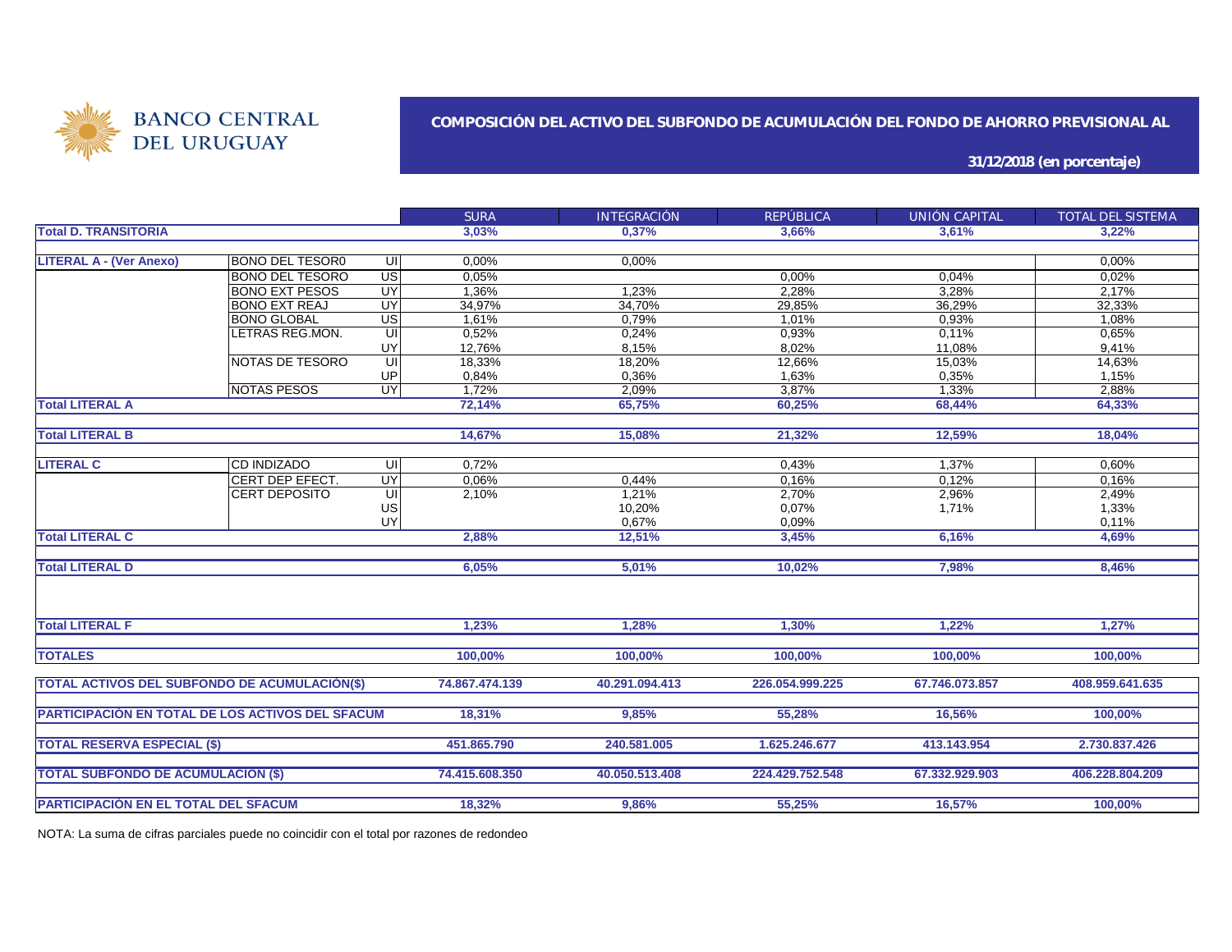

### **COMPOSICIÓN DEL ACTIVO DEL SUBFONDO DE ACUMULACIÓN DEL FONDO DE AHORRO PREVISIONAL AL**

**31/12/2018 (en porcentaje)**

|                                                         |                        |                          | <b>SURA</b>    | <b>INTEGRACIÓN</b> | <b>REPÚBLICA</b> | UNIÓN CAPITAL  | TOTAL DEL SISTEMA |
|---------------------------------------------------------|------------------------|--------------------------|----------------|--------------------|------------------|----------------|-------------------|
| <b>Total D. TRANSITORIA</b>                             |                        |                          | 3,03%          | 0.37%              | 3.66%            | 3.61%          | 3.22%             |
|                                                         |                        |                          |                |                    |                  |                |                   |
| <b>LITERAL A - (Ver Anexo)</b>                          | <b>BONO DEL TESOR0</b> | UI                       | 0,00%          | 0,00%              |                  |                | 0,00%             |
|                                                         | <b>BONO DEL TESORO</b> | US <sup></sup>           | 0,05%          |                    | 0,00%            | 0,04%          | 0,02%             |
|                                                         | <b>BONO EXT PESOS</b>  | UY                       | 1,36%          | 1,23%              | 2,28%            | 3,28%          | 2,17%             |
|                                                         | <b>BONO EXT REAJ</b>   | UY                       | 34,97%         | 34,70%             | 29,85%           | 36,29%         | 32,33%            |
|                                                         | <b>BONO GLOBAL</b>     | $\overline{\mathsf{us}}$ | 1,61%          | 0,79%              | 1,01%            | 0.93%          | 1,08%             |
|                                                         | LETRAS REG.MON.        | UI                       | 0,52%          | 0,24%              | 0,93%            | 0,11%          | 0,65%             |
|                                                         |                        | UY                       | 12,76%         | 8,15%              | 8,02%            | 11,08%         | 9,41%             |
|                                                         | NOTAS DE TESORO        | UI                       | 18,33%         | 18,20%             | 12,66%           | 15,03%         | 14,63%            |
|                                                         |                        | UP                       | 0,84%          | 0,36%              | 1,63%            | 0,35%          | 1,15%             |
|                                                         | <b>NOTAS PESOS</b>     | UY                       | 1,72%          | 2,09%              | 3,87%            | 1,33%          | 2,88%             |
| <b>Total LITERAL A</b>                                  |                        |                          | 72.14%         | 65,75%             | 60,25%           | 68,44%         | 64,33%            |
|                                                         |                        |                          |                |                    |                  |                |                   |
| <b>Total LITERAL B</b>                                  |                        |                          | 14,67%         | 15,08%             | 21,32%           | 12,59%         | 18,04%            |
|                                                         |                        |                          |                |                    |                  |                |                   |
| <b>LITERAL C</b>                                        | <b>CD INDIZADO</b>     | UI                       | 0,72%          |                    | 0,43%            | 1,37%          | 0,60%             |
|                                                         | CERT DEP EFECT.        | UY                       | 0,06%          | 0,44%              | 0,16%            | 0,12%          | 0,16%             |
|                                                         | <b>CERT DEPOSITO</b>   | UI                       | 2,10%          | 1,21%              | 2,70%            | 2,96%          | 2,49%             |
|                                                         |                        | US                       |                | 10,20%             | 0,07%            | 1,71%          | 1,33%             |
|                                                         |                        | <b>UY</b>                |                | 0,67%              | 0,09%            |                | 0,11%             |
| <b>Total LITERAL C</b>                                  |                        |                          | 2,88%          | 12,51%             | 3,45%            | 6,16%          | 4,69%             |
|                                                         |                        |                          |                |                    |                  |                |                   |
| <b>Total LITERAL D</b>                                  |                        |                          | 6,05%          | 5,01%              | 10,02%           | 7,98%          | 8,46%             |
|                                                         |                        |                          |                |                    |                  |                |                   |
| <b>Total LITERAL F</b>                                  |                        |                          | 1.23%          | 1.28%              | 1.30%            | 1.22%          | 1.27%             |
| <b>TOTALES</b>                                          |                        |                          | 100,00%        | 100,00%            | 100,00%          | 100,00%        | 100,00%           |
|                                                         |                        |                          |                |                    |                  |                |                   |
| <b>TOTAL ACTIVOS DEL SUBFONDO DE ACUMULACIÓN(\$)</b>    |                        |                          | 74.867.474.139 | 40.291.094.413     | 226.054.999.225  | 67.746.073.857 | 408.959.641.635   |
|                                                         |                        |                          |                |                    |                  |                |                   |
| <b>PARTICIPACIÓN EN TOTAL DE LOS ACTIVOS DEL SFACUM</b> |                        |                          | 18.31%         | 9.85%              | 55.28%           | 16,56%         | 100.00%           |
|                                                         |                        |                          |                |                    |                  |                |                   |
| <b>TOTAL RESERVA ESPECIAL (\$)</b>                      |                        |                          | 451.865.790    | 240.581.005        | 1.625.246.677    | 413.143.954    | 2.730.837.426     |
|                                                         |                        |                          | 74.415.608.350 | 40.050.513.408     | 224.429.752.548  | 67.332.929.903 | 406.228.804.209   |
| <b>TOTAL SUBFONDO DE ACUMULACIÓN (\$)</b>               |                        |                          |                |                    |                  |                |                   |
| <b>PARTICIPACIÓN EN EL TOTAL DEL SFACUM</b>             |                        |                          | 18,32%         | 9,86%              | 55,25%           | 16,57%         | 100,00%           |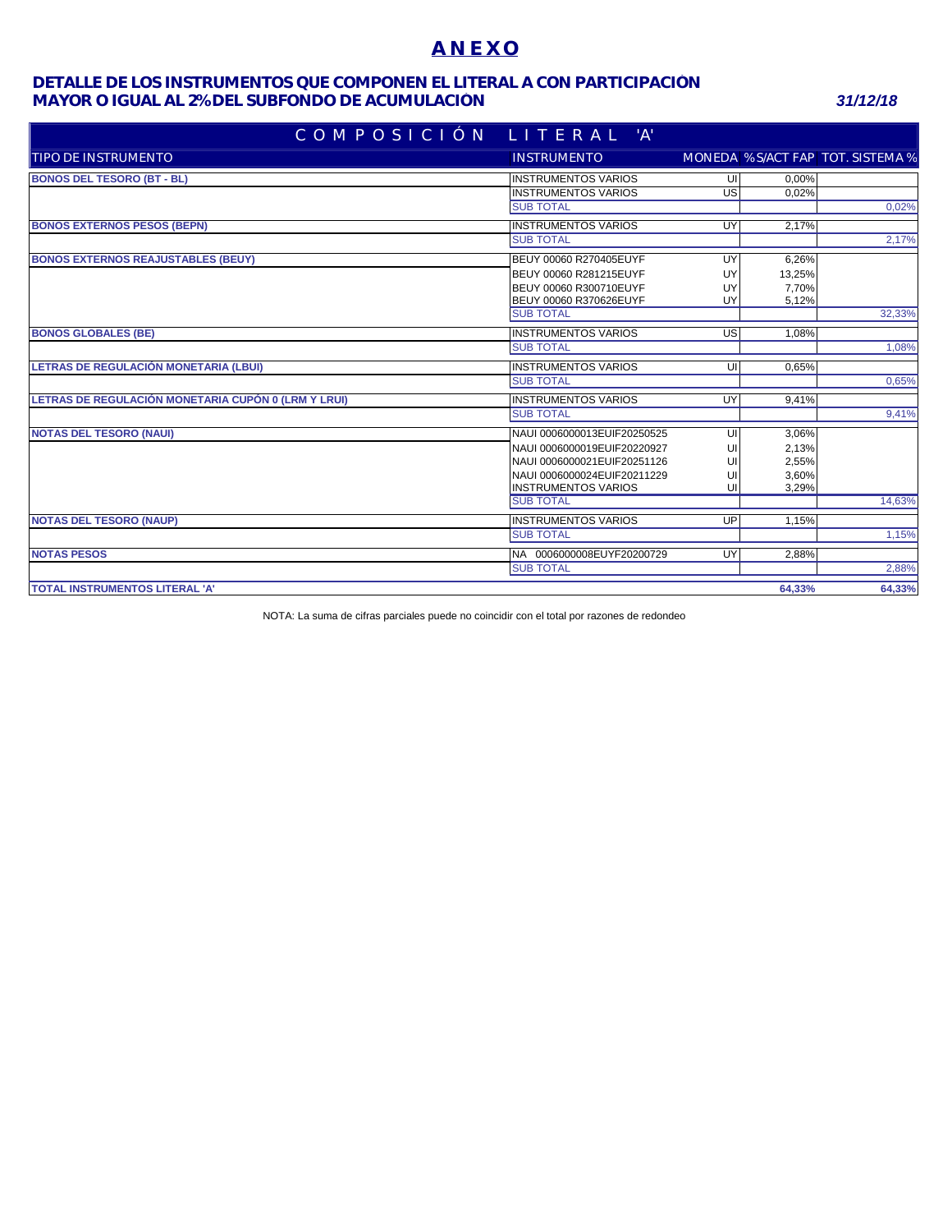## **A N E X O**

### **MAYOR O IGUAL AL 2% DEL SUBFONDO DE ACUMULACIÓN** *31/12/18* **DETALLE DE LOS INSTRUMENTOS QUE COMPONEN EL LITERAL A CON PARTICIPACIÓN**

| COMPOSICIÓN LITERAL 'A'                             |                               |     |          |                                   |
|-----------------------------------------------------|-------------------------------|-----|----------|-----------------------------------|
| TIPO DE INSTRUMENTO                                 | <b>INSTRUMENTO</b>            |     |          | MONEDA % S/ACT FAP TOT. SISTEMA % |
| <b>BONOS DEL TESORO (BT - BL)</b>                   | <b>INSTRUMENTOS VARIOS</b>    | UI  | 0.00%    |                                   |
|                                                     | <b>INSTRUMENTOS VARIOS</b>    | G   | $0.02\%$ |                                   |
|                                                     | <b>SUB TOTAL</b>              |     |          | 0,02%                             |
| <b>BONOS EXTERNOS PESOS (BEPN)</b>                  | <b>INSTRUMENTOS VARIOS</b>    | UY  | 2,17%    |                                   |
|                                                     | <b>SUB TOTAL</b>              |     |          | 2,17%                             |
| <b>BONOS EXTERNOS REAJUSTABLES (BEUY)</b>           | <b>BEUY 00060 R270405EUYF</b> | UY  | 6,26%    |                                   |
|                                                     | BEUY 00060 R281215EUYF        | UY  | 13,25%   |                                   |
|                                                     | BEUY 00060 R300710EUYF        | UY  | 7,70%    |                                   |
|                                                     | BEUY 00060 R370626EUYF        | UY  | 5,12%    |                                   |
|                                                     | <b>SUB TOTAL</b>              |     |          | 32,33%                            |
| <b>BONOS GLOBALES (BE)</b>                          | <b>INSTRUMENTOS VARIOS</b>    | USI | 1,08%    |                                   |
|                                                     | <b>SUB TOTAL</b>              |     |          | 1,08%                             |
| <b>LETRAS DE REGULACIÓN MONETARIA (LBUI)</b>        | <b>INSTRUMENTOS VARIOS</b>    | ਗ   | 0,65%    |                                   |
|                                                     | <b>SUB TOTAL</b>              |     |          | 0,65%                             |
| LETRAS DE REGULACIÓN MONETARIA CUPÓN 0 (LRM Y LRUI) | <b>INSTRUMENTOS VARIOS</b>    | UY  | 9,41%    |                                   |
|                                                     | <b>SUB TOTAL</b>              |     |          | 9,41%                             |
| <b>NOTAS DEL TESORO (NAUI)</b>                      | NAUI 0006000013EUIF20250525   | UI  | 3,06%    |                                   |
|                                                     | NAUI 0006000019EUIF20220927   | UI  | 2,13%    |                                   |
|                                                     | NAUI 0006000021EUIF20251126   | UI  | 2,55%    |                                   |
|                                                     | NAUI 0006000024EUIF20211229   | UI  | 3,60%    |                                   |
|                                                     | <b>INSTRUMENTOS VARIOS</b>    | UI  | 3,29%    |                                   |
|                                                     | <b>SUB TOTAL</b>              |     |          | 14,63%                            |
| <b>NOTAS DEL TESORO (NAUP)</b>                      | <b>INSTRUMENTOS VARIOS</b>    | UP  | 1,15%    |                                   |
|                                                     | <b>SUB TOTAL</b>              |     |          | 1,15%                             |
| <b>NOTAS PESOS</b>                                  | NA 0006000008EUYF20200729     | UY  | 2,88%    |                                   |
|                                                     | <b>SUB TOTAL</b>              |     |          | 2,88%                             |
| <b>TOTAL INSTRUMENTOS LITERAL 'A'</b>               |                               |     | 64,33%   | 64,33%                            |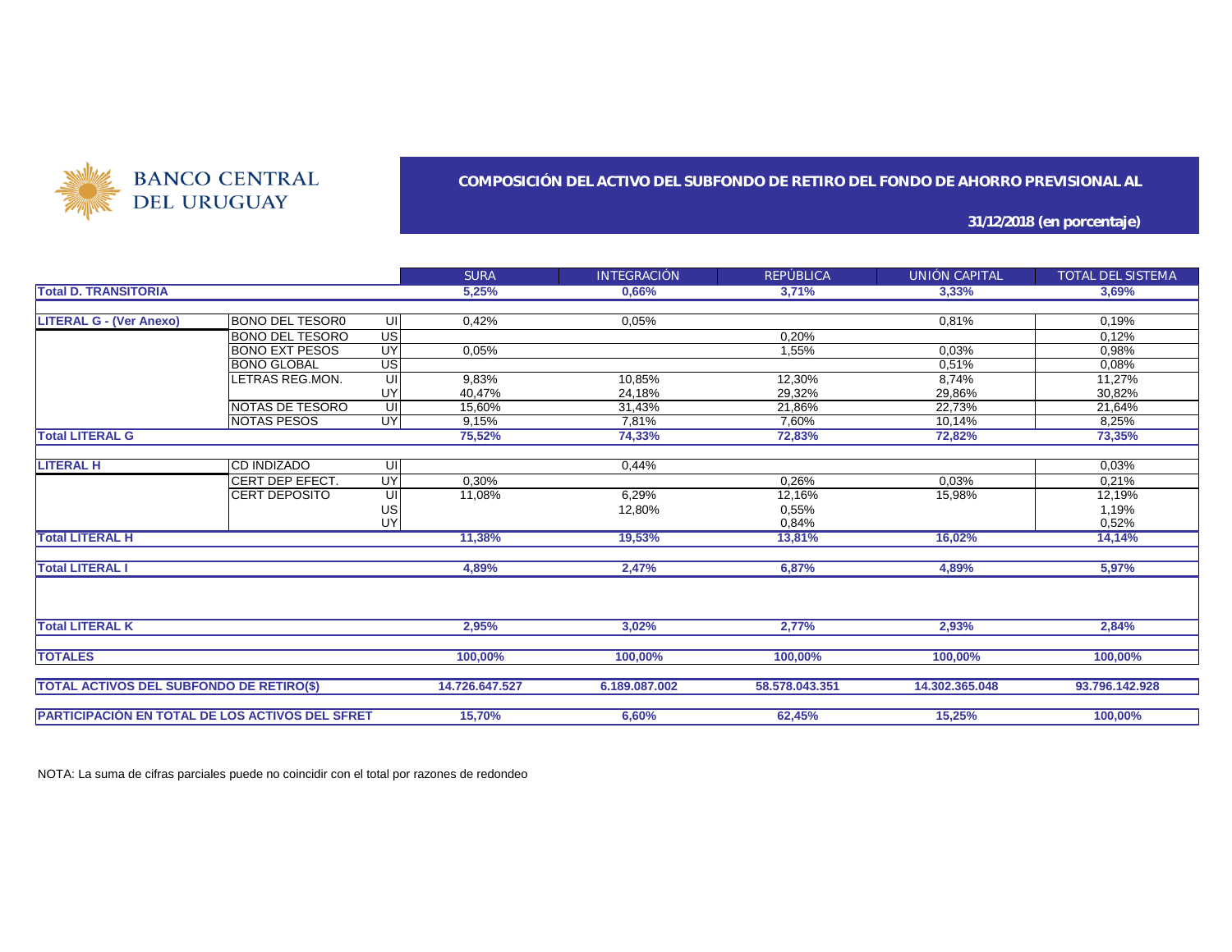

### **COMPOSICIÓN DEL ACTIVO DEL SUBFONDO DE RETIRO DEL FONDO DE AHORRO PREVISIONAL AL**

**31/12/2018 (en porcentaje)**

|                                                        |                        |                 | <b>SURA</b>    | <b>INTEGRACIÓN</b> | <b>REPÚBLICA</b> | UNIÓN CAPITAL  | TOTAL DEL SISTEMA |
|--------------------------------------------------------|------------------------|-----------------|----------------|--------------------|------------------|----------------|-------------------|
| <b>Total D. TRANSITORIA</b>                            |                        |                 | 5,25%          | 0,66%              | 3,71%            | 3,33%          | 3,69%             |
|                                                        |                        |                 |                |                    |                  |                |                   |
| <b>LITERAL G - (Ver Anexo)</b>                         | <b>BONO DEL TESOR0</b> | UI              | 0,42%          | 0,05%              |                  | 0,81%          | 0.19%             |
|                                                        | BONO DEL TESORO        | $\overline{US}$ |                |                    | 0,20%            |                | 0,12%             |
|                                                        | <b>BONO EXT PESOS</b>  | UY              | 0,05%          |                    | 1,55%            | 0,03%          | 0,98%             |
|                                                        | <b>BONO GLOBAL</b>     | US              |                |                    |                  | 0.51%          | 0,08%             |
|                                                        | LETRAS REG.MON.        | UI              | 9,83%          | 10.85%             | 12,30%           | 8,74%          | 11,27%            |
|                                                        |                        | UY              | 40.47%         | 24,18%             | 29.32%           | 29,86%         | 30,82%            |
|                                                        | <b>NOTAS DE TESORO</b> | UI              | 15,60%         | 31,43%             | 21,86%           | 22,73%         | 21,64%            |
|                                                        | INOTAS PESOS           | UY              | 9,15%          | 7,81%              | 7,60%            | 10,14%         | 8,25%             |
| <b>Total LITERAL G</b>                                 |                        |                 | 75,52%         | 74,33%             | 72,83%           | 72,82%         | 73,35%            |
|                                                        |                        |                 |                |                    |                  |                |                   |
| <b>LITERAL H</b>                                       | <b>CD INDIZADO</b>     | UI              |                | 0,44%              |                  |                | 0.03%             |
|                                                        | CERT DEP EFECT.        | UY              | 0,30%          |                    | 0,26%            | 0.03%          | 0,21%             |
|                                                        | <b>CERT DEPOSITO</b>   | UI              | 11,08%         | 6,29%              | 12,16%           | 15,98%         | 12,19%            |
|                                                        |                        | US<br>UY        |                | 12,80%             | 0,55%            |                | 1,19%             |
|                                                        |                        |                 |                |                    | 0,84%            |                | 0,52%             |
| <b>Total LITERAL H</b>                                 |                        |                 | 11,38%         | 19,53%             | 13,81%           | 16,02%         | 14,14%            |
|                                                        |                        |                 |                |                    |                  |                |                   |
| <b>Total LITERAL I</b>                                 |                        |                 | 4,89%          | 2,47%              | 6,87%            | 4,89%          | 5,97%             |
|                                                        |                        |                 |                |                    |                  |                |                   |
| <b>Total LITERAL K</b>                                 |                        |                 |                |                    |                  |                |                   |
|                                                        |                        |                 | 2,95%          | 3,02%              | 2,77%            | 2,93%          | 2,84%             |
|                                                        |                        |                 |                |                    |                  |                |                   |
| <b>TOTALES</b>                                         |                        |                 | 100,00%        | 100,00%            | 100,00%          | 100,00%        | 100,00%           |
| <b>TOTAL ACTIVOS DEL SUBFONDO DE RETIRO(\$)</b>        |                        |                 | 14.726.647.527 | 6.189.087.002      | 58,578,043,351   | 14.302.365.048 | 93.796.142.928    |
|                                                        |                        |                 |                |                    |                  |                |                   |
| <b>PARTICIPACIÓN EN TOTAL DE LOS ACTIVOS DEL SFRET</b> |                        |                 | 15,70%         | 6,60%              | 62,45%           | 15,25%         | 100,00%           |
|                                                        |                        |                 |                |                    |                  |                |                   |